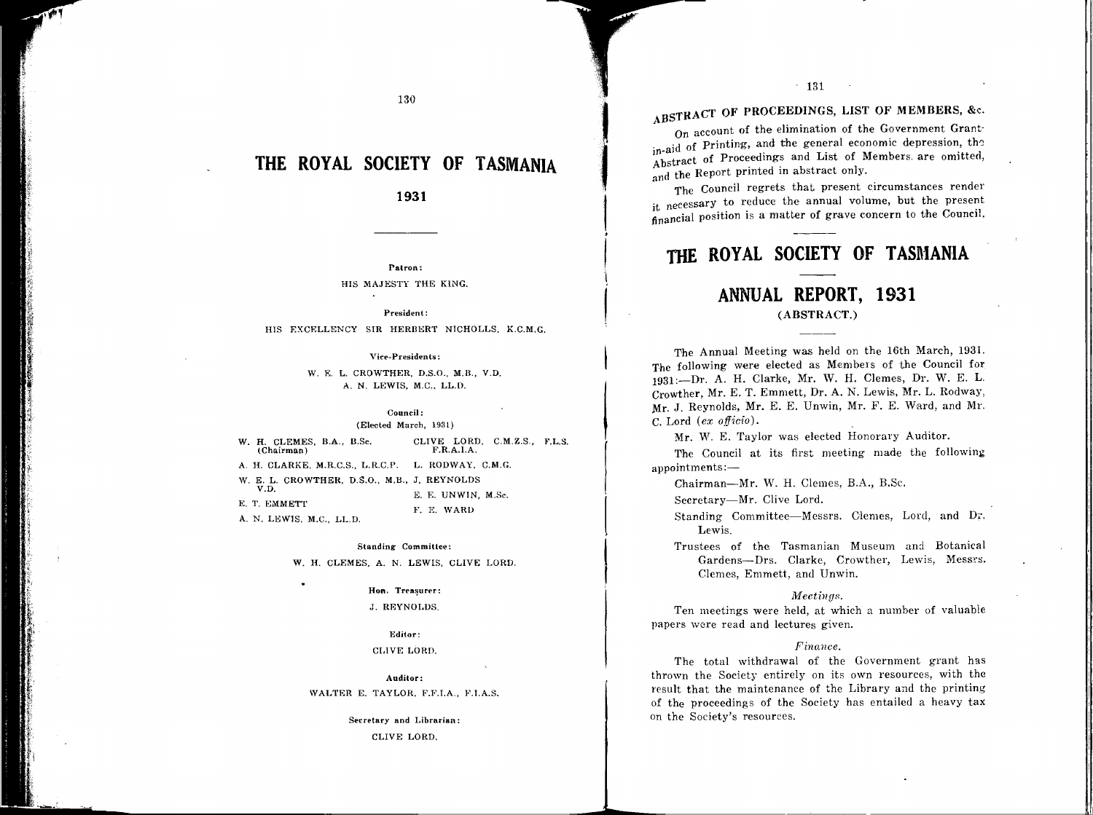# **THE ROYAL SOCIETY OF TASMANIA**

#### **1931**

**Patron:** HIS MAJESTY THE KiNG.

**President:**  HIS EXCELLENCY SIR HERBERT NICHOLLS. K.C.M.G.

**Vice-Presidents:** 

W. E. L. CROWTHER, D.S.O., M.B., V.D. A. N. LEWIS, M.C., LL.D.

> **Council;**  (Elected March, 1931)

W. H. CLEMES, B.A., B.Sc. CLIVE LORD, C.M.Z.S., F.L.S. (Chairman) (Chairman) A. H. CLARKE, M.R.C.S., L.R.C.P. L. RODWAY, C.M.G. W. E. L. CROWTHER, D.S.O., M.B., J. REYNOLDS V.D. E. T. E. E. UNWIN, M.Sc. *Y.* E. WARD

A. N. LEWIS, M.C., LL.D.

,

#### Standing Committee:

W. H. CLEMES, A. N. LEWIS, CLIVE LORD.

#### **Hon.**

J. REYNOLDS.

#### Editor: CLIVE LORD.

Auditor: WALTER E. TAYLOR. F.F.I.A., F.I.A.S.

> **Secretary and Librarian:**  CLIVE LORD.

# **ABSTRACT OF PROCEEDINGS, LIST OF MEMBERS,** &c.

jl:

ll<br>!

. 131

I

I

**t** ' **j**   $\mathbf{L}$ 

**f** 

On account of the elimination of the Government Grant·  $\frac{1}{2}$  in-aid of Printing, and the general economic depression, the Abstract of Proceedings and List of Members. are omitted, and the Report printed in abstract only.

The Council regrets that present circumstances render it necessary to reduce the annual volume, but the present financial position is a matter of grave concern to the Council.

## **THE ROYAL SOCIETY OF TASMANIA**

### **ANNUAL REPORT, 1931 (ABSTRACT.)**

The Annual Meeting was held on the 16th March, 1931. The following were elected as Members of the Council for 1931:-Dr. A. H. Clarke, Mr. W. H. Clemes, Dr. W. E. L. Crowther, Mr. E. T. Emmett, Dr. A. N. Lewis, Mr. L. Rodway, .Mr. J. Reynolds, Mr. E. E. Unwin, Mr. F. E. Ward, and Mr. C. Lord *(ex officio).* 

Mr. W. E. Taylor was elected Honorary Auditor.

The Council at its first meeting made the following appointments:-

Chairman-Mr. W. H. Clemes, B.A., B.Sc.

Secretary-Mr. Clive Lord.

Standing Committee-Messrs. Clemes, Lord, and Dr. Lewis.

Trustees of the Tasmanian Museum and Botanical Gardens-Drs. Clarke, Crowther, Lewis, Messrs. Clemes, Emmett, and Unwin.

#### Meetings.

Ten meetings were held, at which a number of valuable papers were read and lectures given.

#### *Finance.*

The total withdrawal of the Government grant has thrown the Society entirely on its own resources, with the result that the maintenance of the Library and the printing of the proceedings of the Society has entailed a heavy tax on the Society's resources.

130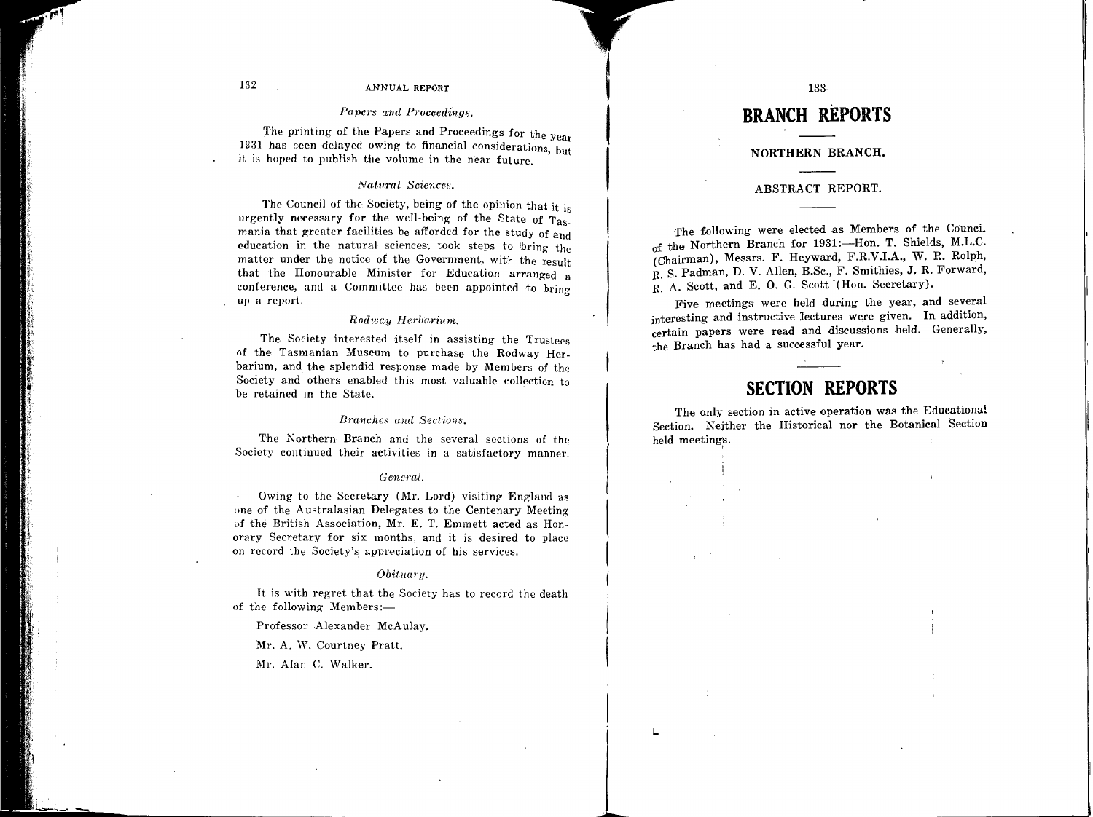#### 132 ANNUAL REPORT

#### *Papers and Proceedings.*

The printing of the Papers and Proceedings for the year 1931 has been delayed owing to financial considerations, but it is hoped to publish the volume in the near future.

#### $Natural$  Sciences.

The Council of the Society, being of the opinion that it is urgently necessary for the well-being of the State of Tasmania that greater facilities be afforded for the study of and education in the natural sciences, took steps to bring the matter under the notice of the Government, with the result that the Honourable Minister for Education arranged a conference, and a Committee has been appointed to bring up a report.

#### *Rodway Herba.rium.*

The Society interested itself in assisting the Trustees of the Tasmanian Museum to purchase the Rodway Herbarium, and the splendid response made by Members of the Society and others enabled this most valuable collection to be retained in the State.

#### *Branches and Section8,*

The Northern Branch and the several sections of the Society continued their activities in a satisfactory manner.

#### *Genaal.*

Owing to the Secretary (Mr. Lord) visiting England as one of the Australasian Delegates to the Centenary Meeting of the British Association, Mr. E. T. Emmett acted as Honorary Secretary for six months, and it is desired to place on record the Society's appreciation of his services.

#### *Obitna1·y.*

It is with regret that the Society has to record the death of the following Members:-

Professor Alexander McAulay.

Mr. A. W. Courtney Pratt.

Mr. Alan C. Walker.

# **BRANCH REPORTS**

133

I

**L** 

#### **NORTHERN BRANCH.**

#### ABSTRACT REPORT.

The following were elected as Members of the Council of the Northern Branch for 1931:-Hon. T. Shields, M.L.C. (Chairman), Messrs. F. Heyward, F.R.V.I.A., W. R. Rolph, R. S. Padman, D. V. Allen, B.Sc., F. Smithies, J. R. Forward, R. A. Scott, and E. 0. G. Scott '(Hon. Secretary).

Five meetings were held during the year, and several interesting and instructive lectures were given. In addition, certain papers were read and discussions held. Generally, the Branch has had a successful year.

## **SECTION REPORTS**

The only section in active operation was the Educational Section. Nedther the Historical nor the Botanical Section held meetings.